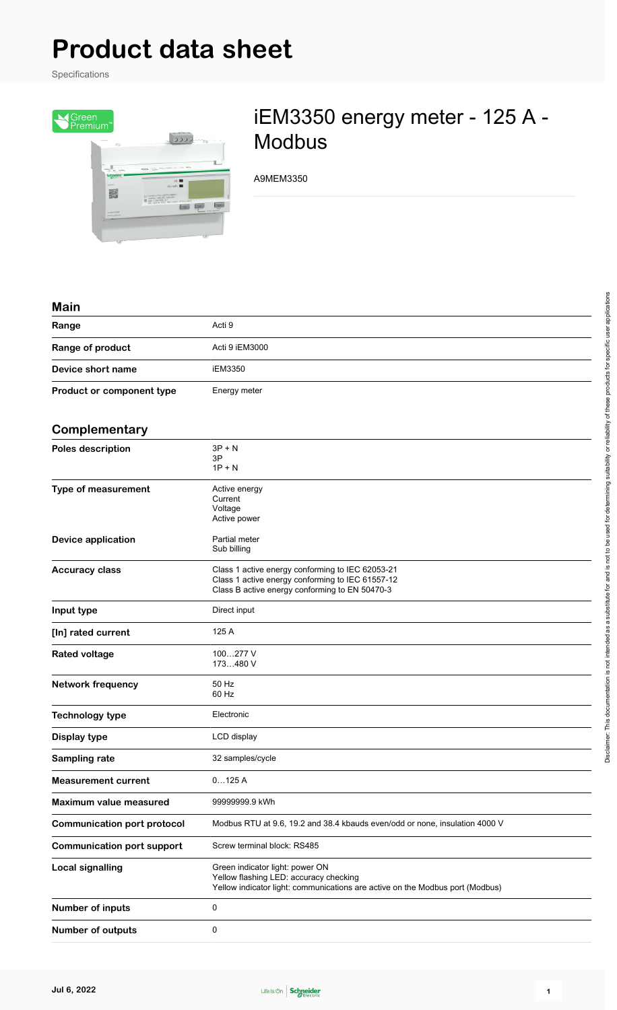# **Product data sheet**

Specifications



## iEM3350 energy meter - 125 A - Modbus

A9MEM3350

#### **Main**

| Range                     | Acti 9         |
|---------------------------|----------------|
| Range of product          | Acti 9 iEM3000 |
| Device short name         | iEM3350        |
| Product or component type | Energy meter   |
|                           |                |

### **Complementary**

| Complementary                      |                                                                                                                                                            |
|------------------------------------|------------------------------------------------------------------------------------------------------------------------------------------------------------|
| <b>Poles description</b>           | 3P + N<br>3P<br>$1P + N$                                                                                                                                   |
| Type of measurement                | Active energy<br>Current<br>Voltage<br>Active power                                                                                                        |
| <b>Device application</b>          | Partial meter<br>Sub billing                                                                                                                               |
| <b>Accuracy class</b>              | Class 1 active energy conforming to IEC 62053-21<br>Class 1 active energy conforming to IEC 61557-12<br>Class B active energy conforming to EN 50470-3     |
| Input type                         | Direct input                                                                                                                                               |
| [In] rated current                 | 125 A                                                                                                                                                      |
| <b>Rated voltage</b>               | 100277 V<br>173480 V                                                                                                                                       |
| <b>Network frequency</b>           | 50 Hz<br>60 Hz                                                                                                                                             |
| <b>Technology type</b>             | Electronic                                                                                                                                                 |
| Display type                       | LCD display                                                                                                                                                |
| Sampling rate                      | 32 samples/cycle                                                                                                                                           |
| <b>Measurement current</b>         | 0125A                                                                                                                                                      |
| Maximum value measured             | 99999999.9 kWh                                                                                                                                             |
| <b>Communication port protocol</b> | Modbus RTU at 9.6, 19.2 and 38.4 kbauds even/odd or none, insulation 4000 V                                                                                |
| <b>Communication port support</b>  | Screw terminal block: RS485                                                                                                                                |
| <b>Local signalling</b>            | Green indicator light: power ON<br>Yellow flashing LED: accuracy checking<br>Yellow indicator light: communications are active on the Modbus port (Modbus) |
| <b>Number of inputs</b>            | 0                                                                                                                                                          |
| <b>Number of outputs</b>           | 0                                                                                                                                                          |

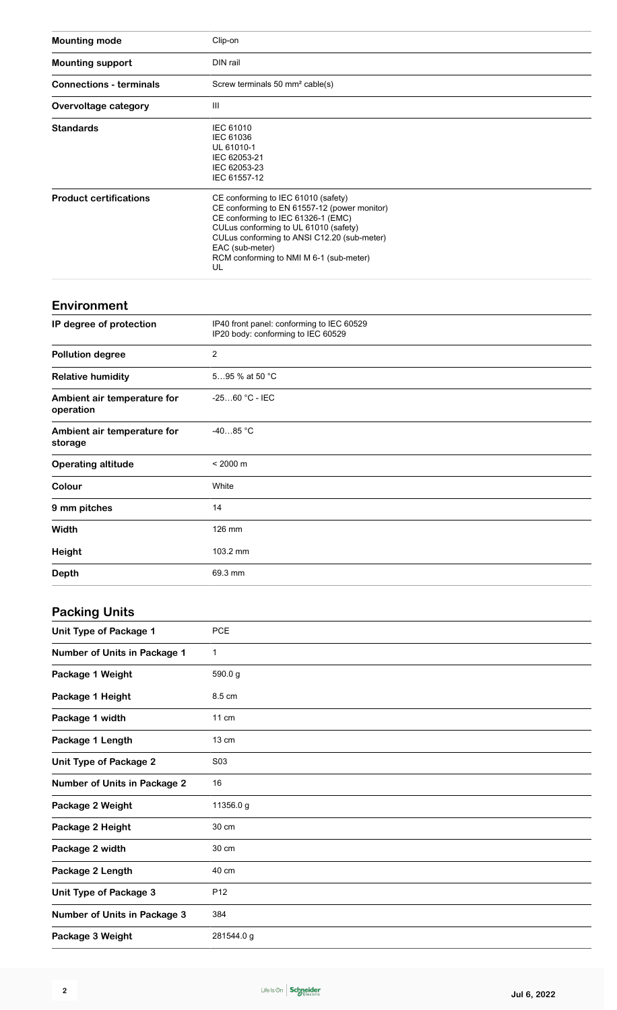| <b>Mounting mode</b>                     | Clip-on                                                                                                                                                                                                                                                                               |
|------------------------------------------|---------------------------------------------------------------------------------------------------------------------------------------------------------------------------------------------------------------------------------------------------------------------------------------|
| <b>Mounting support</b>                  | DIN rail                                                                                                                                                                                                                                                                              |
| <b>Connections - terminals</b>           | Screw terminals 50 mm <sup>2</sup> cable(s)                                                                                                                                                                                                                                           |
| Overvoltage category                     | Ш                                                                                                                                                                                                                                                                                     |
| <b>Standards</b>                         | <b>IEC 61010</b><br>IEC 61036<br>UL 61010-1<br>IEC 62053-21<br>IEC 62053-23<br>IEC 61557-12                                                                                                                                                                                           |
| <b>Product certifications</b>            | CE conforming to IEC 61010 (safety)<br>CE conforming to EN 61557-12 (power monitor)<br>CE conforming to IEC 61326-1 (EMC)<br>CULus conforming to UL 61010 (safety)<br>CULus conforming to ANSI C12.20 (sub-meter)<br>EAC (sub-meter)<br>RCM conforming to NMI M 6-1 (sub-meter)<br>UL |
| <b>Environment</b>                       |                                                                                                                                                                                                                                                                                       |
| IP degree of protection                  | IP40 front panel: conforming to IEC 60529<br>IP20 body: conforming to IEC 60529                                                                                                                                                                                                       |
| <b>Pollution degree</b>                  | $\overline{c}$                                                                                                                                                                                                                                                                        |
| <b>Relative humidity</b>                 | 595 % at 50 °C                                                                                                                                                                                                                                                                        |
| Ambient air temperature for<br>operation | $-2560 °C - IEC$                                                                                                                                                                                                                                                                      |
| Ambient air temperature for<br>storage   | $-4085 °C$                                                                                                                                                                                                                                                                            |
| <b>Operating altitude</b>                | $< 2000 \text{ m}$                                                                                                                                                                                                                                                                    |
| Colour                                   | White                                                                                                                                                                                                                                                                                 |
| 9 mm pitches                             | 14                                                                                                                                                                                                                                                                                    |
| Width                                    | 126 mm                                                                                                                                                                                                                                                                                |
| <b>Height</b>                            | 103.2 mm                                                                                                                                                                                                                                                                              |
| <b>Depth</b>                             | 69.3 mm                                                                                                                                                                                                                                                                               |
| <b>Packing Units</b>                     |                                                                                                                                                                                                                                                                                       |
| <b>Unit Type of Package 1</b>            | PCE                                                                                                                                                                                                                                                                                   |
| <b>Number of Units in Package 1</b>      | 1                                                                                                                                                                                                                                                                                     |
| Package 1 Weight                         | 590.0g                                                                                                                                                                                                                                                                                |
| Package 1 Height                         | 8.5 cm                                                                                                                                                                                                                                                                                |
| Package 1 width                          | 11 cm                                                                                                                                                                                                                                                                                 |
| Package 1 Length                         | 13 cm                                                                                                                                                                                                                                                                                 |
| <b>Unit Type of Package 2</b>            | S03                                                                                                                                                                                                                                                                                   |
| <b>Number of Units in Package 2</b>      | 16                                                                                                                                                                                                                                                                                    |
| Package 2 Weight                         | 11356.0 g                                                                                                                                                                                                                                                                             |
| Package 2 Height                         | 30 cm                                                                                                                                                                                                                                                                                 |
| Package 2 width                          | 30 cm                                                                                                                                                                                                                                                                                 |

Package 2 Length 40 cm